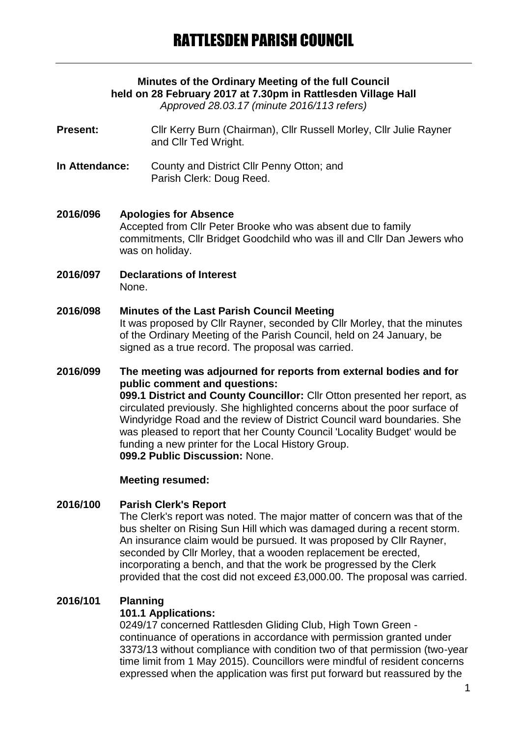# **Minutes of the Ordinary Meeting of the full Council held on 28 February 2017 at 7.30pm in Rattlesden Village Hall**

*Approved 28.03.17 (minute 2016/113 refers)*

- **Present:** Cllr Kerry Burn (Chairman), Cllr Russell Morley, Cllr Julie Rayner and Cllr Ted Wright.
- **In Attendance:** County and District Cllr Penny Otton; and Parish Clerk: Doug Reed.

# **2016/096 Apologies for Absence**

Accepted from Cllr Peter Brooke who was absent due to family commitments, Cllr Bridget Goodchild who was ill and Cllr Dan Jewers who was on holiday.

**2016/097 Declarations of Interest** None.

# **2016/098 Minutes of the Last Parish Council Meeting**

It was proposed by Cllr Rayner, seconded by Cllr Morley, that the minutes of the Ordinary Meeting of the Parish Council, held on 24 January, be signed as a true record. The proposal was carried.

# **2016/099 The meeting was adjourned for reports from external bodies and for public comment and questions: 099.1 District and County Councillor:** Cllr Otton presented her report, as circulated previously. She highlighted concerns about the poor surface of Windyridge Road and the review of District Council ward boundaries. She was pleased to report that her County Council 'Locality Budget' would be funding a new printer for the Local History Group. **099.2 Public Discussion:** None.

# **Meeting resumed:**

# **2016/100 Parish Clerk's Report**

The Clerk's report was noted. The major matter of concern was that of the bus shelter on Rising Sun Hill which was damaged during a recent storm. An insurance claim would be pursued. It was proposed by Cllr Rayner, seconded by Cllr Morley, that a wooden replacement be erected, incorporating a bench, and that the work be progressed by the Clerk provided that the cost did not exceed £3,000.00. The proposal was carried.

# **2016/101 Planning**

# **101.1 Applications:**

0249/17 concerned Rattlesden Gliding Club, High Town Green continuance of operations in accordance with permission granted under 3373/13 without compliance with condition two of that permission (two-year time limit from 1 May 2015). Councillors were mindful of resident concerns expressed when the application was first put forward but reassured by the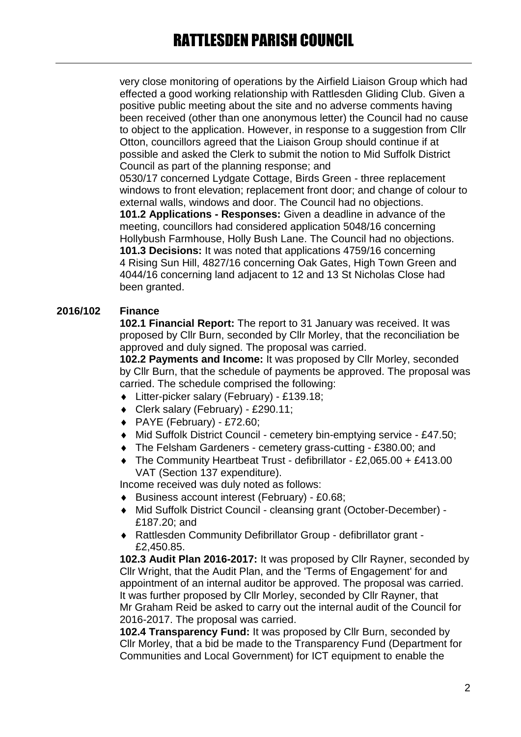very close monitoring of operations by the Airfield Liaison Group which had effected a good working relationship with Rattlesden Gliding Club. Given a positive public meeting about the site and no adverse comments having been received (other than one anonymous letter) the Council had no cause to object to the application. However, in response to a suggestion from Cllr Otton, councillors agreed that the Liaison Group should continue if at possible and asked the Clerk to submit the notion to Mid Suffolk District Council as part of the planning response; and

0530/17 concerned Lydgate Cottage, Birds Green - three replacement windows to front elevation; replacement front door; and change of colour to external walls, windows and door. The Council had no objections.

**101.2 Applications - Responses:** Given a deadline in advance of the meeting, councillors had considered application 5048/16 concerning Hollybush Farmhouse, Holly Bush Lane. The Council had no objections. **101.3 Decisions:** It was noted that applications 4759/16 concerning 4 Rising Sun Hill, 4827/16 concerning Oak Gates, High Town Green and 4044/16 concerning land adjacent to 12 and 13 St Nicholas Close had been granted.

# **2016/102 Finance**

**102.1 Financial Report:** The report to 31 January was received. It was proposed by Cllr Burn, seconded by Cllr Morley, that the reconciliation be approved and duly signed. The proposal was carried.

**102.2 Payments and Income:** It was proposed by Cllr Morley, seconded by Cllr Burn, that the schedule of payments be approved. The proposal was carried. The schedule comprised the following:

- Litter-picker salary (February) £139.18;
- Clerk salary (February) £290.11;
- PAYE (February) £72.60;
- Mid Suffolk District Council cemetery bin-emptying service £47.50;
- The Felsham Gardeners cemetery grass-cutting £380.00; and
- The Community Heartbeat Trust defibrillator £2,065.00 + £413.00 VAT (Section 137 expenditure).

Income received was duly noted as follows:

- Business account interest (February) £0.68;
- Mid Suffolk District Council cleansing grant (October-December) £187.20; and
- Rattlesden Community Defibrillator Group defibrillator grant £2,450.85.

**102.3 Audit Plan 2016-2017:** It was proposed by Cllr Rayner, seconded by Cllr Wright, that the Audit Plan, and the 'Terms of Engagement' for and appointment of an internal auditor be approved. The proposal was carried. It was further proposed by Cllr Morley, seconded by Cllr Rayner, that Mr Graham Reid be asked to carry out the internal audit of the Council for 2016-2017. The proposal was carried.

**102.4 Transparency Fund:** It was proposed by Cllr Burn, seconded by Cllr Morley, that a bid be made to the Transparency Fund (Department for Communities and Local Government) for ICT equipment to enable the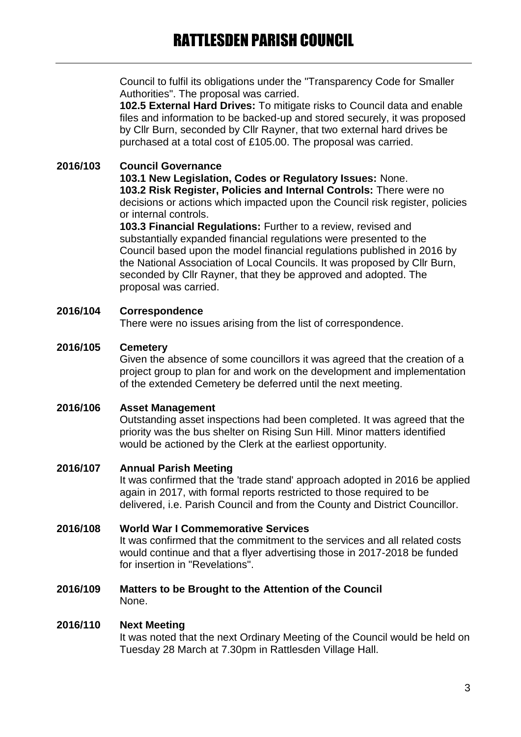Council to fulfil its obligations under the "Transparency Code for Smaller Authorities". The proposal was carried.

**102.5 External Hard Drives:** To mitigate risks to Council data and enable files and information to be backed-up and stored securely, it was proposed by Cllr Burn, seconded by Cllr Rayner, that two external hard drives be purchased at a total cost of £105.00. The proposal was carried.

# **2016/103 Council Governance**

**103.1 New Legislation, Codes or Regulatory Issues:** None. **103.2 Risk Register, Policies and Internal Controls:** There were no decisions or actions which impacted upon the Council risk register, policies or internal controls.

**103.3 Financial Regulations:** Further to a review, revised and substantially expanded financial regulations were presented to the Council based upon the model financial regulations published in 2016 by the National Association of Local Councils. It was proposed by Cllr Burn, seconded by Cllr Rayner, that they be approved and adopted. The proposal was carried.

# **2016/104 Correspondence**

There were no issues arising from the list of correspondence.

# **2016/105 Cemetery**

Given the absence of some councillors it was agreed that the creation of a project group to plan for and work on the development and implementation of the extended Cemetery be deferred until the next meeting.

# **2016/106 Asset Management**

Outstanding asset inspections had been completed. It was agreed that the priority was the bus shelter on Rising Sun Hill. Minor matters identified would be actioned by the Clerk at the earliest opportunity.

# **2016/107 Annual Parish Meeting**

It was confirmed that the 'trade stand' approach adopted in 2016 be applied again in 2017, with formal reports restricted to those required to be delivered, i.e. Parish Council and from the County and District Councillor.

# **2016/108 World War I Commemorative Services**

It was confirmed that the commitment to the services and all related costs would continue and that a flyer advertising those in 2017-2018 be funded for insertion in "Revelations".

#### **2016/109 Matters to be Brought to the Attention of the Council** None.

# **2016/110 Next Meeting**

It was noted that the next Ordinary Meeting of the Council would be held on Tuesday 28 March at 7.30pm in Rattlesden Village Hall.